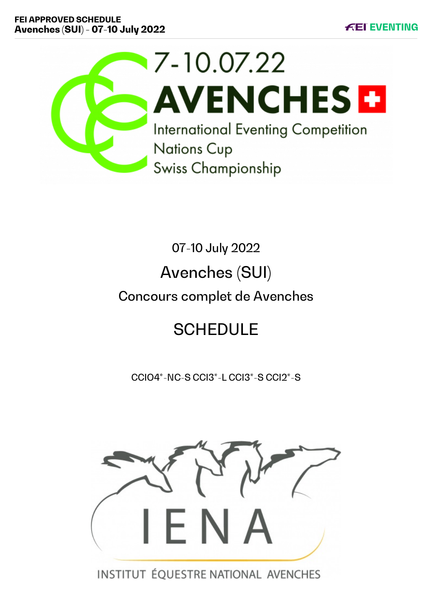

07-10 July 2022

# Avenches (SUI)

# Concours complet de Avenches

# **SCHEDULE**

CCIO4\*-NC-S CCI3\*-L CCI3\*-S CCI2\*-S



INSTITUT ÉQUESTRE NATIONAL AVENCHES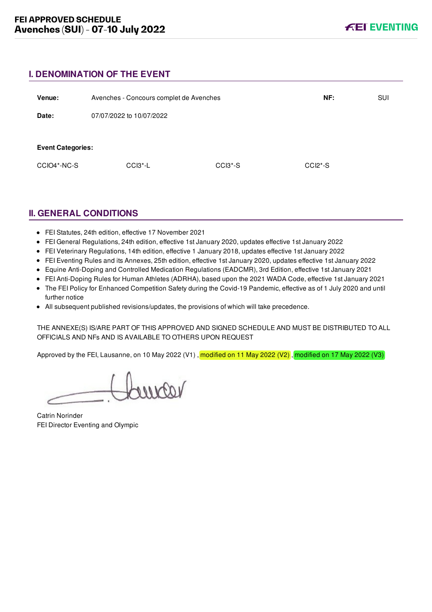## **I. DENOMINATION OF THE EVENT**

| Venue:                   | Avenches - Concours complet de Avenches |           | NF:       | <b>SUI</b> |
|--------------------------|-----------------------------------------|-----------|-----------|------------|
| Date:                    | 07/07/2022 to 10/07/2022                |           |           |            |
|                          |                                         |           |           |            |
| <b>Event Categories:</b> |                                         |           |           |            |
| CCIO4*-NC-S              | $CCI3$ <sup>*</sup> -L                  | $CCI3*-S$ | $CCI2*-S$ |            |
|                          |                                         |           |           |            |

# **II. GENERAL CONDITIONS**

- FEI Statutes, 24th edition, effective 17 November 2021
- FEI General Regulations, 24th edition, effective 1st January 2020, updates effective 1st January 2022
- FEI Veterinary Regulations, 14th edition, effective 1 January 2018, updates effective 1st January 2022
- FEI Eventing Rules and its Annexes, 25th edition, effective 1st January 2020, updates effective 1st January 2022
- Equine Anti-Doping and Controlled Medication Regulations (EADCMR), 3rd Edition, effective 1st January 2021
- FEI Anti-Doping Rules for Human Athletes (ADRHA), based upon the 2021 WADA Code, effective 1st January 2021
- The FEI Policy for Enhanced Competition Safety during the Covid-19 Pandemic, effective as of 1 July 2020 and until further notice
- All subsequent published revisions/updates, the provisions of which will take precedence.

THE ANNEXE(S) IS/ARE PART OF THIS APPROVED AND SIGNED SCHEDULE AND MUST BE DISTRIBUTED TO ALL OFFICIALS AND NFs AND IS AVAILABLE TO OTHERS UPON REQUEST

Approved by the FEI, Lausanne, on 10 May 2022 (V1), modified on 11 May 2022 (V2), modified on 17 May 2022 (V3)

voornor

Catrin Norinder FEI Director Eventing and Olympic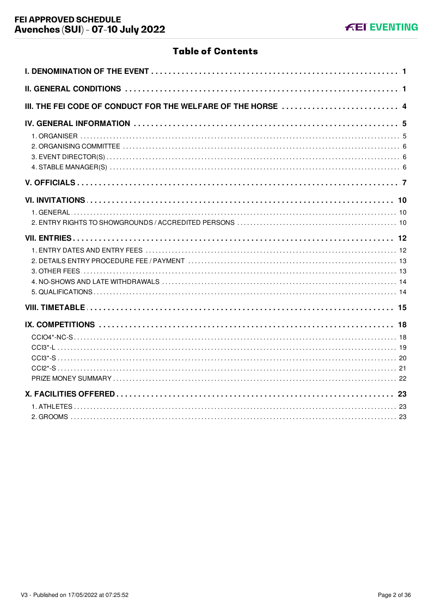# **Table of Contents**

| III. THE FEI CODE OF CONDUCT FOR THE WELFARE OF THE HORSE 4 |
|-------------------------------------------------------------|
|                                                             |
|                                                             |
|                                                             |
|                                                             |
|                                                             |
|                                                             |
|                                                             |
|                                                             |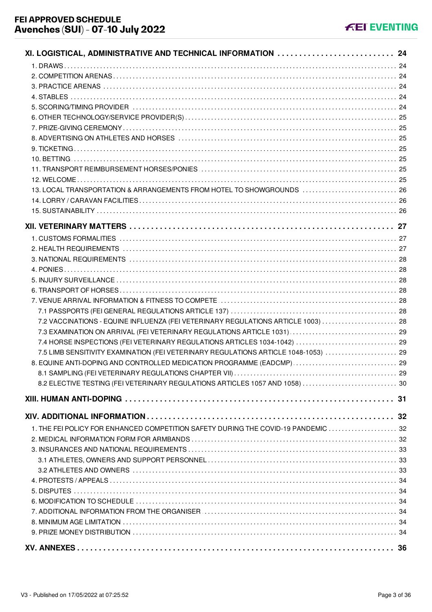| XI. LOGISTICAL, ADMINISTRATIVE AND TECHNICAL INFORMATION  24                        |    |
|-------------------------------------------------------------------------------------|----|
|                                                                                     |    |
|                                                                                     |    |
|                                                                                     |    |
|                                                                                     |    |
|                                                                                     |    |
|                                                                                     |    |
|                                                                                     |    |
|                                                                                     |    |
|                                                                                     |    |
|                                                                                     |    |
|                                                                                     |    |
|                                                                                     |    |
| 13. LOCAL TRANSPORTATION & ARRANGEMENTS FROM HOTEL TO SHOWGROUNDS  26               |    |
|                                                                                     |    |
|                                                                                     |    |
|                                                                                     |    |
|                                                                                     |    |
|                                                                                     |    |
|                                                                                     |    |
|                                                                                     |    |
|                                                                                     |    |
|                                                                                     |    |
|                                                                                     |    |
|                                                                                     |    |
| 7.2 VACCINATIONS - EQUINE INFLUENZA (FEI VETERINARY REGULATIONS ARTICLE 1003)  28   |    |
|                                                                                     |    |
| 7.4 HORSE INSPECTIONS (FEI VETERINARY REGULATIONS ARTICLES 1034-1042)  29           |    |
| 7.5 LIMB SENSITIVITY EXAMINATION (FEI VETERINARY REGULATIONS ARTICLE 1048-1053)  29 |    |
| 8. EQUINE ANTI-DOPING AND CONTROLLED MEDICATION PROGRAMME (EADCMP)  29              |    |
|                                                                                     | 29 |
| 8.2 ELECTIVE TESTING (FEI VETERINARY REGULATIONS ARTICLES 1057 AND 1058)  30        |    |
|                                                                                     |    |
|                                                                                     |    |
|                                                                                     |    |
| 1. THE FEI POLICY FOR ENHANCED COMPETITION SAFETY DURING THE COVID-19 PANDEMIC  32  |    |
|                                                                                     |    |
|                                                                                     |    |
|                                                                                     |    |
|                                                                                     |    |
|                                                                                     |    |
|                                                                                     |    |
|                                                                                     |    |
|                                                                                     |    |
|                                                                                     |    |
|                                                                                     |    |
|                                                                                     |    |
|                                                                                     |    |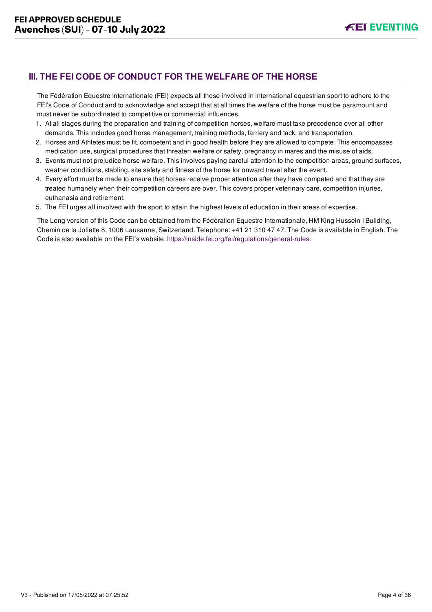# <span id="page-4-0"></span>**III. THE FEI CODE OF CONDUCT FOR THE WELFARE OF THE HORSE**

The Fédération Equestre Internationale (FEI) expects all those involved in international equestrian sport to adhere to the FEI's Code of Conduct and to acknowledge and accept that at all times the welfare of the horse must be paramount and must never be subordinated to competitive or commercial influences.

- 1. At all stages during the preparation and training of competition horses, welfare must take precedence over all other demands. This includes good horse management, training methods, farriery and tack, and transportation.
- 2. Horses and Athletes must be fit, competent and in good health before they are allowed to compete. This encompasses medication use, surgical procedures that threaten welfare or safety, pregnancy in mares and the misuse of aids.
- 3. Events must not prejudice horse welfare. This involves paying careful attention to the competition areas, ground surfaces, weather conditions, stabling, site safety and fitness of the horse for onward travel after the event.
- 4. Every effort must be made to ensure that horses receive proper attention after they have competed and that they are treated humanely when their competition careers are over. This covers proper veterinary care, competition injuries, euthanasia and retirement.
- 5. The FEI urges all involved with the sport to attain the highest levels of education in their areas of expertise.

The Long version of this Code can be obtained from the Fédération Equestre Internationale, HM King Hussein I Building, Chemin de la Joliette 8, 1006 Lausanne, Switzerland. Telephone: +41 21 310 47 47. The Code is available in English. The Code is also available on the FEI's website:<https://inside.fei.org/fei/regulations/general-rules>.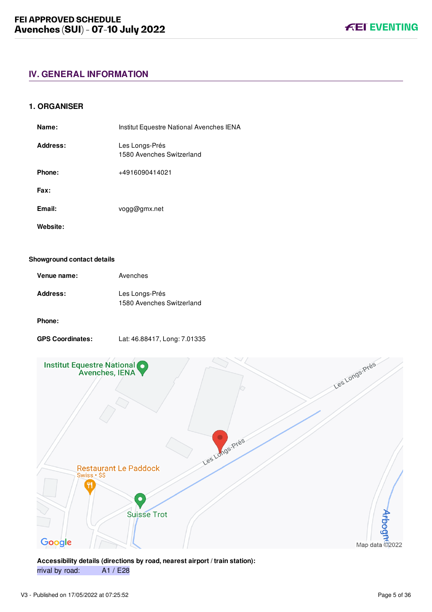# <span id="page-5-0"></span>**IV. GENERAL INFORMATION**

#### <span id="page-5-1"></span>**1. ORGANISER**

| Name:    | Institut Equestre National Avenches IENA    |
|----------|---------------------------------------------|
| Address: | Les Longs-Prés<br>1580 Avenches Switzerland |
| Phone:   | +4916090414021                              |
| Fax:     |                                             |
| Email:   | vogg@gmx.net                                |
| Website: |                                             |

#### **Showground contact details**

| Venue name: | Avenches                                    |
|-------------|---------------------------------------------|
| Address:    | Les Longs-Prés<br>1580 Avenches Switzerland |

#### **Phone:**

**GPS Coordinates:** Lat: 46.88417, Long: 7.01335



**Accessibility details (directions by road, nearest airport / train station):** rrival by road: A1 / E28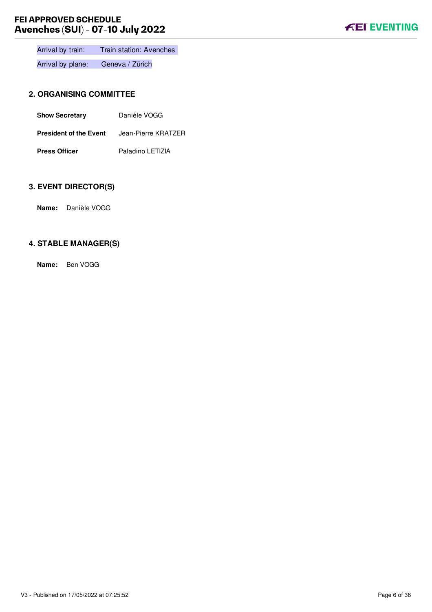

Arrival by train: Train station: Avenches

Arrival by plane: Geneva / Zürich

# <span id="page-6-0"></span>**2. ORGANISING COMMITTEE**

| <b>Show Secretary</b>         | Danièle VOGG        |
|-------------------------------|---------------------|
| <b>President of the Event</b> | Jean-Pierre KRATZER |
| <b>Press Officer</b>          | Paladino LETIZIA    |

# <span id="page-6-1"></span>**3. EVENT DIRECTOR(S)**

**Name:** Danièle VOGG

## <span id="page-6-2"></span>**4. STABLE MANAGER(S)**

**Name:** Ben VOGG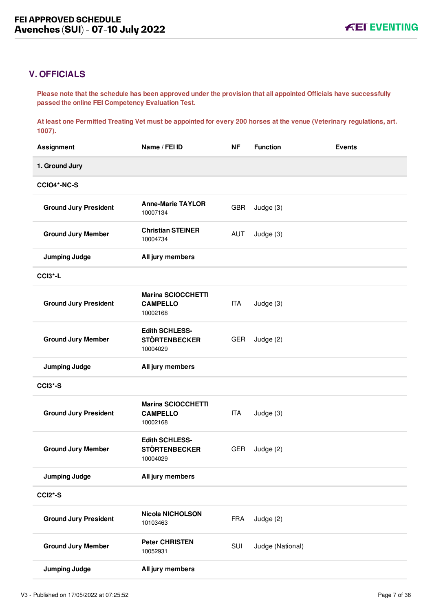# <span id="page-7-0"></span>**V. OFFICIALS**

**Please note that the schedule has been approved under the provision that all appointed Officials have successfully passed the online FEI Competency Evaluation Test.** 

**At least one Permitted Treating Vet must be appointed for every 200 horses at the venue (Veterinary regulations, art. 1007).**

| <b>Assignment</b>            | Name / FEI ID                                             | <b>NF</b>  | <b>Function</b>  | <b>Events</b> |
|------------------------------|-----------------------------------------------------------|------------|------------------|---------------|
| 1. Ground Jury               |                                                           |            |                  |               |
| CCIO4*-NC-S                  |                                                           |            |                  |               |
| <b>Ground Jury President</b> | <b>Anne-Marie TAYLOR</b><br>10007134                      | <b>GBR</b> | Judge (3)        |               |
| <b>Ground Jury Member</b>    | <b>Christian STEINER</b><br>10004734                      | AUT        | Judge (3)        |               |
| <b>Jumping Judge</b>         | All jury members                                          |            |                  |               |
| CCI3*-L                      |                                                           |            |                  |               |
| <b>Ground Jury President</b> | <b>Marina SCIOCCHETTI</b><br><b>CAMPELLO</b><br>10002168  | ITA        | Judge (3)        |               |
| <b>Ground Jury Member</b>    | <b>Edith SCHLESS-</b><br><b>STÖRTENBECKER</b><br>10004029 | GER        | Judge (2)        |               |
|                              |                                                           |            |                  |               |
| <b>Jumping Judge</b>         | All jury members                                          |            |                  |               |
| CCI3*-S                      |                                                           |            |                  |               |
| <b>Ground Jury President</b> | <b>Marina SCIOCCHETTI</b><br><b>CAMPELLO</b><br>10002168  | ITA        | Judge (3)        |               |
| <b>Ground Jury Member</b>    | <b>Edith SCHLESS-</b><br><b>STÖRTENBECKER</b><br>10004029 | <b>GER</b> | Judge (2)        |               |
| <b>Jumping Judge</b>         | All jury members                                          |            |                  |               |
| CCI2*-S                      |                                                           |            |                  |               |
| <b>Ground Jury President</b> | <b>Nicola NICHOLSON</b><br>10103463                       | <b>FRA</b> | Judge (2)        |               |
| <b>Ground Jury Member</b>    | <b>Peter CHRISTEN</b><br>10052931                         | SUI        | Judge (National) |               |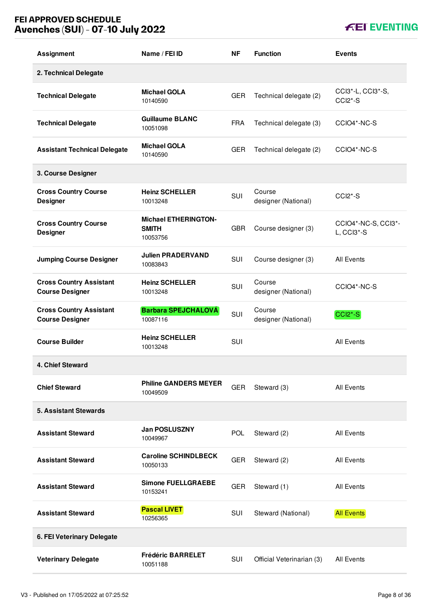| <b>Assignment</b>                                        | Name / FEI ID                                           | NF         | <b>Function</b>               | <b>Events</b>                             |
|----------------------------------------------------------|---------------------------------------------------------|------------|-------------------------------|-------------------------------------------|
| 2. Technical Delegate                                    |                                                         |            |                               |                                           |
| <b>Technical Delegate</b>                                | <b>Michael GOLA</b><br>10140590                         | <b>GER</b> | Technical delegate (2)        | CCI3*-L, CCI3*-S,<br>CCI <sub>2</sub> *-S |
| <b>Technical Delegate</b>                                | <b>Guillaume BLANC</b><br>10051098                      | <b>FRA</b> | Technical delegate (3)        | CCIO4*-NC-S                               |
| <b>Assistant Technical Delegate</b>                      | <b>Michael GOLA</b><br>10140590                         | <b>GER</b> | Technical delegate (2)        | CCIO4*-NC-S                               |
| 3. Course Designer                                       |                                                         |            |                               |                                           |
| <b>Cross Country Course</b><br><b>Designer</b>           | <b>Heinz SCHELLER</b><br>10013248                       | <b>SUI</b> | Course<br>designer (National) | CCI2*-S                                   |
| <b>Cross Country Course</b><br><b>Designer</b>           | <b>Michael ETHERINGTON-</b><br><b>SMITH</b><br>10053756 | <b>GBR</b> | Course designer (3)           | CCIO4*-NC-S, CCI3*-<br>$L, CCI3*-S$       |
| <b>Jumping Course Designer</b>                           | <b>Julien PRADERVAND</b><br>10083843                    | SUI        | Course designer (3)           | <b>All Events</b>                         |
| <b>Cross Country Assistant</b><br><b>Course Designer</b> | <b>Heinz SCHELLER</b><br>10013248                       | SUI        | Course<br>designer (National) | CCIO4*-NC-S                               |
| <b>Cross Country Assistant</b><br><b>Course Designer</b> | <b>Barbara SPEJCHALOVÁ</b><br>10087116                  | SUI        | Course<br>designer (National) | CCI <sub>2</sub> *-S                      |
| <b>Course Builder</b>                                    | <b>Heinz SCHELLER</b><br>10013248                       | SUI        |                               | <b>All Events</b>                         |
| 4. Chief Steward                                         |                                                         |            |                               |                                           |
| <b>Chief Steward</b>                                     | <b>Philine GANDERS MEYER</b><br>10049509                | <b>GER</b> | Steward (3)                   | All Events                                |
| <b>5. Assistant Stewards</b>                             |                                                         |            |                               |                                           |
| <b>Assistant Steward</b>                                 | <b>Jan POSLUSZNY</b><br>10049967                        | <b>POL</b> | Steward (2)                   | <b>All Events</b>                         |
| <b>Assistant Steward</b>                                 | <b>Caroline SCHINDLBECK</b><br>10050133                 | <b>GER</b> | Steward (2)                   | <b>All Events</b>                         |
| <b>Assistant Steward</b>                                 | <b>Simone FUELLGRAEBE</b><br>10153241                   | <b>GER</b> | Steward (1)                   | <b>All Events</b>                         |
| <b>Assistant Steward</b>                                 | <b>Pascal LIVET</b><br>10256365                         | SUI        | Steward (National)            | <b>All Events</b>                         |
| 6. FEI Veterinary Delegate                               |                                                         |            |                               |                                           |
| <b>Veterinary Delegate</b>                               | <b>Frédéric BARRELET</b><br>10051188                    | SUI        | Official Veterinarian (3)     | <b>All Events</b>                         |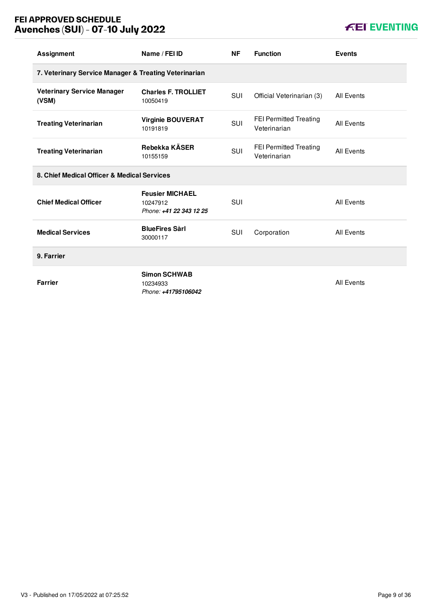| <b>Assignment</b>                                     | Name / FEI ID                                                 | <b>NF</b>  | <b>Function</b>                               | <b>Events</b>     |
|-------------------------------------------------------|---------------------------------------------------------------|------------|-----------------------------------------------|-------------------|
| 7. Veterinary Service Manager & Treating Veterinarian |                                                               |            |                                               |                   |
| <b>Veterinary Service Manager</b><br>(VSM)            | <b>Charles F. TROLLIET</b><br>10050419                        | <b>SUI</b> | Official Veterinarian (3)                     | <b>All Events</b> |
| <b>Treating Veterinarian</b>                          | <b>Virginie BOUVERAT</b><br>10191819                          | SUI        | <b>FEI Permitted Treating</b><br>Veterinarian | <b>All Events</b> |
| <b>Treating Veterinarian</b>                          | Rebekka KÄSER<br>10155159                                     | <b>SUI</b> | <b>FEI Permitted Treating</b><br>Veterinarian | All Events        |
| 8. Chief Medical Officer & Medical Services           |                                                               |            |                                               |                   |
| <b>Chief Medical Officer</b>                          | <b>Feusier MICHAEL</b><br>10247912<br>Phone: +41 22 343 12 25 | SUI        |                                               | <b>All Events</b> |
| <b>Medical Services</b>                               | <b>BlueFires Sarl</b><br>30000117                             | <b>SUI</b> | Corporation                                   | All Events        |
| 9. Farrier                                            |                                                               |            |                                               |                   |
| <b>Farrier</b>                                        | <b>Simon SCHWAB</b><br>10234933<br>Phone: +41795106042        |            |                                               | <b>All Events</b> |

# **KEI EVENTING**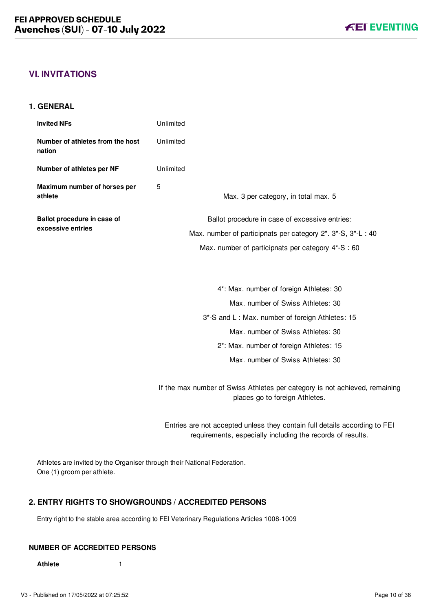# <span id="page-10-0"></span>**VI. INVITATIONS**

#### <span id="page-10-1"></span>**1. GENERAL**

| <b>Invited NFs</b>                         | Unlimited                                                                                                     |
|--------------------------------------------|---------------------------------------------------------------------------------------------------------------|
| Number of athletes from the host<br>nation | Unlimited                                                                                                     |
| Number of athletes per NF                  | Unlimited                                                                                                     |
| Maximum number of horses per<br>athlete    | 5<br>Max. 3 per category, in total max. 5                                                                     |
| Ballot procedure in case of                | Ballot procedure in case of excessive entries:                                                                |
| excessive entries                          | Max. number of participnats per category 2*. 3*-S, 3*-L: 40                                                   |
|                                            | Max. number of participnats per category 4*-S: 60                                                             |
|                                            |                                                                                                               |
|                                            | 4*: Max. number of foreign Athletes: 30                                                                       |
|                                            | Max, number of Swiss Athletes: 30                                                                             |
|                                            | 3*-S and L: Max. number of foreign Athletes: 15                                                               |
|                                            | Max. number of Swiss Athletes: 30                                                                             |
|                                            | 2*: Max. number of foreign Athletes: 15                                                                       |
|                                            | Max. number of Swiss Athletes: 30                                                                             |
|                                            | If the max number of Swiss Athletes per category is not achieved, remaining<br>places go to foreign Athletes. |

Entries are not accepted unless they contain full details according to FEI requirements, especially including the records of results.

Athletes are invited by the Organiser through their National Federation. One (1) groom per athlete.

## <span id="page-10-2"></span>**2. ENTRY RIGHTS TO SHOWGROUNDS / ACCREDITED PERSONS**

Entry right to the stable area according to FEI Veterinary Regulations Articles 1008-1009

### **NUMBER OF ACCREDITED PERSONS**

**Athlete** 1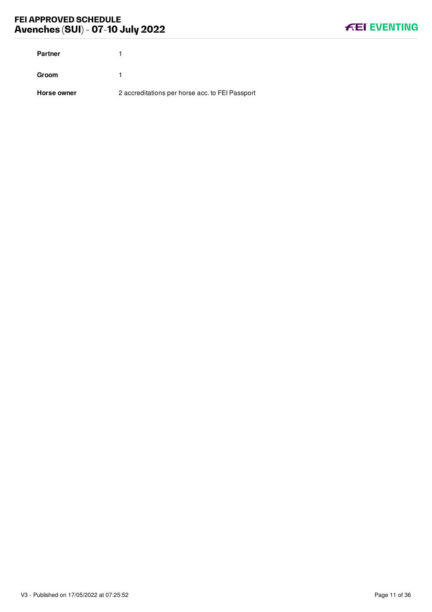| <b>Partner</b> |                                                 |
|----------------|-------------------------------------------------|
| Groom          |                                                 |
| Horse owner    | 2 accreditations per horse acc. to FEI Passport |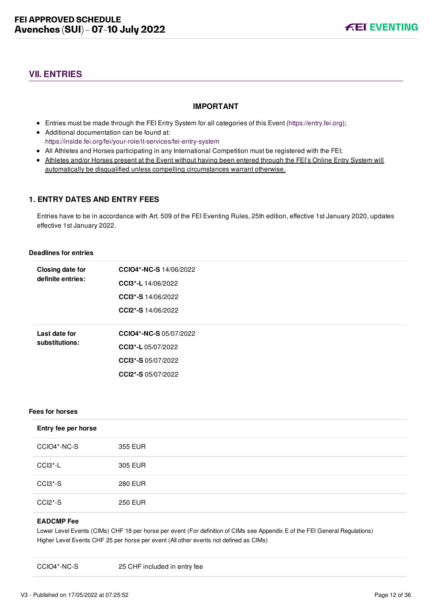# <span id="page-12-0"></span>**VII. ENTRIES**

#### **IMPORTANT**

- Entries must be made through the FEI Entry System for all categories of this Event ([https://entry.fei.org\)](https://entry.fei.org);
- Additional documentation can be found at: <https://inside.fei.org/fei/your-role/it-services/fei-entry-system>
- All Athletes and Horses participating in any International Competition must be registered with the FEI;
- Athletes and/or Horses present at the Event without having been entered through the FEI's Online Entry System will automatically be disqualified unless compelling circumstances warrant otherwise.

## <span id="page-12-1"></span>**1. ENTRY DATES AND ENTRY FEES**

Entries have to be in accordance with Art. 509 of the FEI Eventing Rules, 25th edition, effective 1st January 2020, updates effective 1st January 2022.

#### **Deadlines for entries**

| <b>Closing date for</b> | <b>CCIO4*-NC-S</b> 14/06/2022 |
|-------------------------|-------------------------------|
| definite entries:       | CCI3*-L 14/06/2022            |
|                         | CCI3*-S 14/06/2022            |
|                         | CCI2*-S 14/06/2022            |
|                         |                               |
| Last date for           | <b>CCIO4*-NC-S 05/07/2022</b> |
| substitutions:          |                               |
|                         | CCI3*-L 05/07/2022            |
|                         | CCI3*-S 05/07/2022            |
|                         | <b>CCI2*-S</b> 05/07/2022     |

#### **Fees for horses**

| Entry fee per horse              |                |
|----------------------------------|----------------|
| CCIO4*-NC-S                      | 355 EUR        |
| CCI3*-L                          | 305 EUR        |
| CCI3*-S                          | <b>280 EUR</b> |
| CCI <sub>2</sub> <sup>*</sup> -S | <b>250 EUR</b> |

#### **EADCMP Fee**

Lower Level Events (CIMs) CHF 18 per horse per event (For definition of CIMs see Appendix E of the FEI General Regulations) Higher Level Events CHF 25 per horse per event (All other events not defined as CIMs)

CCIO4\*-NC-S 25 CHF included in entry fee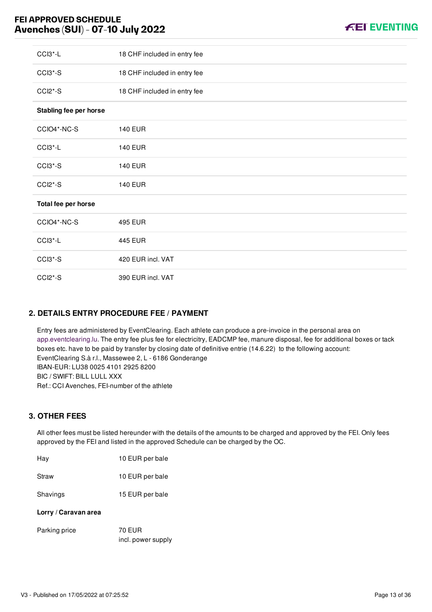

| CCI3*-L                | 18 CHF included in entry fee |
|------------------------|------------------------------|
| CCI3*-S                | 18 CHF included in entry fee |
| CCI2*-S                | 18 CHF included in entry fee |
| Stabling fee per horse |                              |
| CCIO4*-NC-S            | <b>140 EUR</b>               |
| CCI3 <sup>*</sup> -L   | <b>140 EUR</b>               |
| CCI3*-S                | <b>140 EUR</b>               |
| CCI2*-S                | <b>140 EUR</b>               |
| Total fee per horse    |                              |
| CCIO4*-NC-S            | 495 EUR                      |
| CCI3 <sup>*</sup> -L   | <b>445 EUR</b>               |
| CCI3*-S                | 420 EUR incl. VAT            |
| CCI2*-S                | 390 EUR incl. VAT            |

# <span id="page-13-0"></span>**2. DETAILS ENTRY PROCEDURE FEE / PAYMENT**

Entry fees are administered by EventClearing. Each athlete can produce a pre-invoice in the personal area on [app.eventclearing.lu](https://deref-gmx.net/mail/client/R-u7l2uJJfE/dereferrer/?redirectUrl=http%253A%252F%252Fapp.eventclearing.lu). The entry fee plus fee for electricitry, EADCMP fee, manure disposal, fee for additional boxes or tack boxes etc. have to be paid by transfer by closing date of definitive entrie (14.6.22) to the following account: EventClearing S.à r.l., Massewee 2, L - 6186 Gonderange IBAN-EUR: LU38 0025 4101 2925 8200 BIC / SWIFT: BILL LULL XXX Ref.: CCI Avenches, FEI-number of the athlete

#### <span id="page-13-1"></span>**3. OTHER FEES**

All other fees must be listed hereunder with the details of the amounts to be charged and approved by the FEI. Only fees approved by the FEI and listed in the approved Schedule can be charged by the OC.

| Hay                  | 10 EUR per bale |
|----------------------|-----------------|
| Straw                | 10 EUR per bale |
| Shavings             | 15 EUR per bale |
| Lorry / Caravan area |                 |
| Parking price        | 70 EUR          |

incl. power supply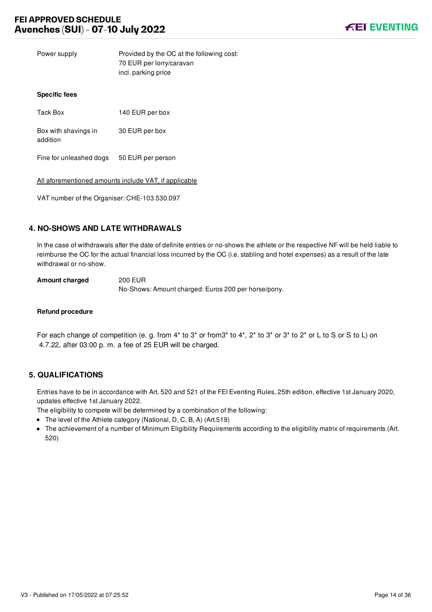Power supply Provided by the OC at the following cost: 70 EUR per lorry/caravan incl. parking price

#### **Specific fees**

| Tack Box                         | 140 EUR per box   |
|----------------------------------|-------------------|
| Box with shavings in<br>addition | 30 EUR per box    |
| Fine for unleashed dogs          | 50 EUR per person |

All aforementioned amounts include VAT, if applicable

VAT number of the Organiser: CHE-103.530.097

## <span id="page-14-0"></span>**4. NO-SHOWS AND LATE WITHDRAWALS**

In the case of withdrawals after the date of definite entries or no-shows the athlete or the respective NF will be held liable to reimburse the OC for the actual financial loss incurred by the OC (i.e. stabling and hotel expenses) as a result of the late withdrawal or no-show.

**Amount charged** 200 EUR

No-Shows: Amount charged: Euros 200 per horse/pony.

#### **Refund procedure**

For each change of competition (e. g. from 4\* to 3\* or from3\* to 4\*, 2\* to 3\* or 3\* to 2\* or L to S or S to L) on 4.7.22, after 03:00 p. m. a fee of 25 EUR will be charged.

## <span id="page-14-1"></span>**5. QUALIFICATIONS**

Entries have to be in accordance with Art. 520 and 521 of the FEI Eventing Rules, 25th edition, effective 1st January 2020, updates effective 1st January 2022.

The eligibility to compete will be determined by a combination of the following:

- The level of the Athlete category (National, D, C, B, A) (Art.519)
- The achievement of a number of Minimum Eligibility Requirements according to the eligibility matrix of requirements (Art. 520)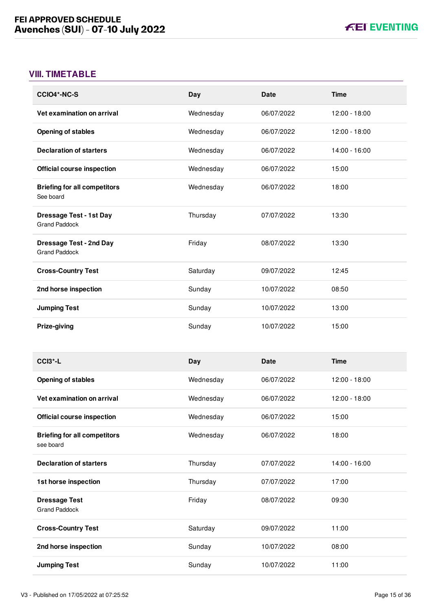# <span id="page-15-0"></span>**VIII. TIMETABLE**

| <b>CCIO4*-NC-S</b>                                     | Day       | <b>Date</b> | <b>Time</b>   |
|--------------------------------------------------------|-----------|-------------|---------------|
| Vet examination on arrival                             | Wednesday | 06/07/2022  | 12:00 - 18:00 |
| <b>Opening of stables</b>                              | Wednesday | 06/07/2022  | 12:00 - 18:00 |
| <b>Declaration of starters</b>                         | Wednesday | 06/07/2022  | 14:00 - 16:00 |
| <b>Official course inspection</b>                      | Wednesday | 06/07/2022  | 15:00         |
| <b>Briefing for all competitors</b><br>See board       | Wednesday | 06/07/2022  | 18:00         |
| <b>Dressage Test - 1st Day</b><br><b>Grand Paddock</b> | Thursday  | 07/07/2022  | 13:30         |
| <b>Dressage Test - 2nd Day</b><br><b>Grand Paddock</b> | Friday    | 08/07/2022  | 13:30         |
| <b>Cross-Country Test</b>                              | Saturday  | 09/07/2022  | 12:45         |
| 2nd horse inspection                                   | Sunday    | 10/07/2022  | 08:50         |
| <b>Jumping Test</b>                                    | Sunday    | 10/07/2022  | 13:00         |
| Prize-giving                                           | Sunday    | 10/07/2022  | 15:00         |
|                                                        |           |             |               |
| CCI <sub>3</sub> <sup>*</sup> -L                       | Day       | <b>Date</b> | <b>Time</b>   |
| <b>Opening of stables</b>                              | Wednesday | 06/07/2022  | 12:00 - 18:00 |
| Vet examination on arrival                             | Wednesday | 06/07/2022  | 12:00 - 18:00 |
| <b>Official course inspection</b>                      | Wednesday | 06/07/2022  | 15:00         |
| <b>Briefing for all competitors</b><br>see board       | Wednesday | 06/07/2022  | 18:00         |
| <b>Declaration of starters</b>                         | Thursday  | 07/07/2022  | 14:00 - 16:00 |
| 1st horse inspection                                   | Thursday  | 07/07/2022  | 17:00         |
| <b>Dressage Test</b><br><b>Grand Paddock</b>           | Friday    | 08/07/2022  | 09:30         |
| <b>Cross-Country Test</b>                              | Saturday  | 09/07/2022  | 11:00         |
| 2nd horse inspection                                   | Sunday    | 10/07/2022  | 08:00         |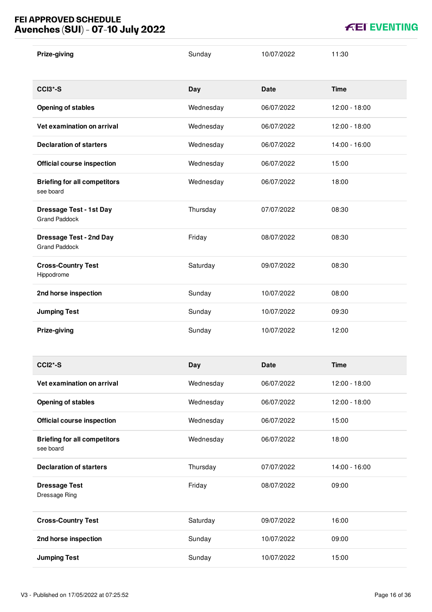| Prize-giving                                           | Sunday    | 10/07/2022  | 11:30         |
|--------------------------------------------------------|-----------|-------------|---------------|
| <b>CCI3*-S</b>                                         | Day       | <b>Date</b> | <b>Time</b>   |
| <b>Opening of stables</b>                              | Wednesday | 06/07/2022  | 12:00 - 18:00 |
| Vet examination on arrival                             | Wednesday | 06/07/2022  | 12:00 - 18:00 |
| <b>Declaration of starters</b>                         | Wednesday | 06/07/2022  | 14:00 - 16:00 |
| <b>Official course inspection</b>                      | Wednesday | 06/07/2022  | 15:00         |
| <b>Briefing for all competitors</b><br>see board       | Wednesday | 06/07/2022  | 18:00         |
| <b>Dressage Test - 1st Day</b><br><b>Grand Paddock</b> | Thursday  | 07/07/2022  | 08:30         |
| <b>Dressage Test - 2nd Day</b><br><b>Grand Paddock</b> | Friday    | 08/07/2022  | 08:30         |
| <b>Cross-Country Test</b><br>Hippodrome                | Saturday  | 09/07/2022  | 08:30         |
| 2nd horse inspection                                   | Sunday    | 10/07/2022  | 08:00         |
|                                                        |           |             |               |
| <b>Jumping Test</b>                                    | Sunday    | 10/07/2022  | 09:30         |
| Prize-giving                                           | Sunday    | 10/07/2022  | 12:00         |
| <b>CCI2*-S</b>                                         | Day       | <b>Date</b> | <b>Time</b>   |
| Vet examination on arrival                             | Wednesday | 06/07/2022  | 12:00 - 18:00 |
| <b>Opening of stables</b>                              | Wednesday | 06/07/2022  | 12:00 - 18:00 |
| <b>Official course inspection</b>                      | Wednesday | 06/07/2022  | 15:00         |
| <b>Briefing for all competitors</b><br>see board       | Wednesday | 06/07/2022  | 18:00         |
| <b>Declaration of starters</b>                         | Thursday  | 07/07/2022  | 14:00 - 16:00 |
| <b>Dressage Test</b><br>Dressage Ring                  | Friday    | 08/07/2022  | 09:00         |
| <b>Cross-Country Test</b>                              | Saturday  | 09/07/2022  | 16:00         |
| 2nd horse inspection                                   | Sunday    | 10/07/2022  | 09:00         |

**KEI EVENTING**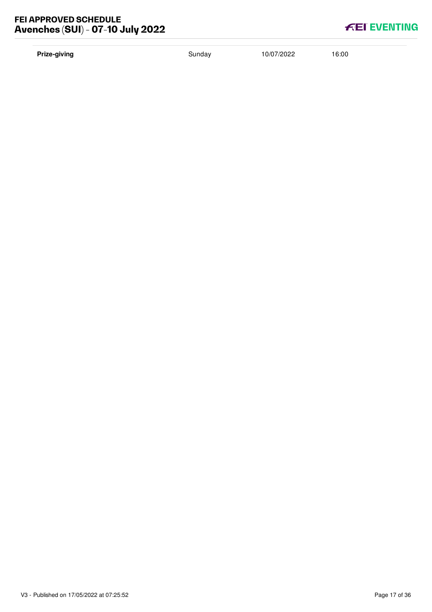# **Prize-giving** 10/07/2022 16:00

| <b>FEI EVENTING</b> |  |  |
|---------------------|--|--|
|                     |  |  |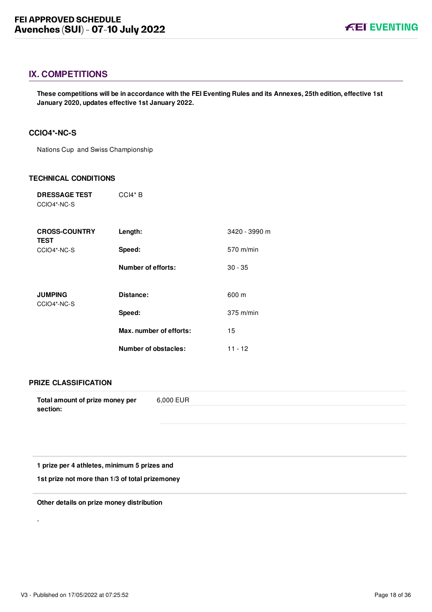## <span id="page-18-0"></span>**IX. COMPETITIONS**

**These competitions will be in accordance with the FEI Eventing Rules and its Annexes, 25th edition, effective 1st January 2020, updates effective 1st January 2022.**

## <span id="page-18-1"></span>**CCIO4\*-NC-S**

Nations Cup and Swiss Championship

#### **TECHNICAL CONDITIONS**

| <b>DRESSAGE TEST</b> | $CCl4*B$ |
|----------------------|----------|
| CCIO4*-NC-S          |          |

| <b>CROSS-COUNTRY</b><br><b>TEST</b> | Length:                 | 3420 - 3990 m |
|-------------------------------------|-------------------------|---------------|
| CCIO4*-NC-S                         | Speed:                  | $570$ m/min   |
|                                     | Number of efforts:      | $30 - 35$     |
| <b>JUMPING</b><br>CCIO4*-NC-S       | Distance:               | 600 m         |
|                                     | Speed:                  | $375$ m/min   |
|                                     | Max. number of efforts: | 15            |
|                                     | Number of obstacles:    | $11 - 12$     |

#### **PRIZE CLASSIFICATION**

| Total amount of prize money per | 6.000 EUR |
|---------------------------------|-----------|
| section:                        |           |

**1 prize per 4 athletes, minimum 5 prizes and** 

**1st prize not more than 1/3 of total prizemoney**

**Other details on prize money distribution**

-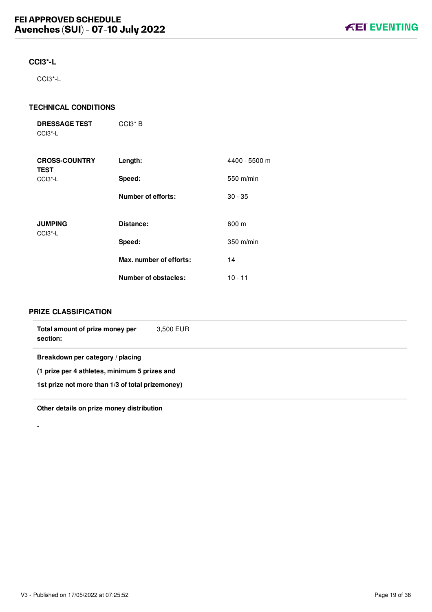## <span id="page-19-0"></span>**CCI3\*-L**

CCI3\*-L

### **TECHNICAL CONDITIONS**

| <b>DRESSAGE TEST</b> | $CCI3*B$ |
|----------------------|----------|
| CCI3*-L              |          |

| <b>CROSS-COUNTRY</b><br><b>TEST</b> | Length:                     | 4400 - 5500 m |
|-------------------------------------|-----------------------------|---------------|
| CCI <sub>3</sub> <sup>*</sup> -L    | Speed:                      | 550 m/min     |
|                                     | <b>Number of efforts:</b>   | $30 - 35$     |
| <b>JUMPING</b><br>$CCI3 - L$        | Distance:                   | 600 m         |
|                                     | Speed:                      | $350$ m/min   |
|                                     | Max. number of efforts:     | 14            |
|                                     | <b>Number of obstacles:</b> | $10 - 11$     |

#### **PRIZE CLASSIFICATION**

-

| Total amount of prize money per<br>section:      | 3.500 EUR |  |  |
|--------------------------------------------------|-----------|--|--|
| Breakdown per category / placing                 |           |  |  |
| (1 prize per 4 athletes, minimum 5 prizes and    |           |  |  |
| 1st prize not more than 1/3 of total prizemoney) |           |  |  |
|                                                  |           |  |  |

**Other details on prize money distribution**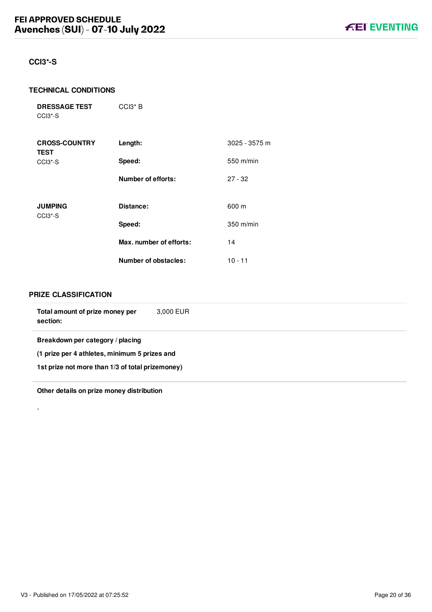## <span id="page-20-0"></span>**CCI3\*-S**

#### **TECHNICAL CONDITIONS**

**DRESSAGE TEST** CCI3\*-S

| <b>CROSS-COUNTRY</b><br><b>TEST</b>                | Length:                     | 3025 - 3575 m |
|----------------------------------------------------|-----------------------------|---------------|
| CCI <sub>3</sub> <sup>*</sup> -S                   | Speed:                      | 550 m/min     |
|                                                    | <b>Number of efforts:</b>   | $27 - 32$     |
| <b>JUMPING</b><br>CCI <sub>3</sub> <sup>*</sup> -S | Distance:                   | 600 m         |
|                                                    | Speed:                      | 350 m/min     |
|                                                    | Max. number of efforts:     | 14            |
|                                                    | <b>Number of obstacles:</b> | $10 - 11$     |

CCI3\* B

#### **PRIZE CLASSIFICATION**

-

| Total amount of prize money per<br>section:      | 3,000 EUR |  |  |
|--------------------------------------------------|-----------|--|--|
| Breakdown per category / placing                 |           |  |  |
| (1 prize per 4 athletes, minimum 5 prizes and    |           |  |  |
| 1st prize not more than 1/3 of total prizemoney) |           |  |  |
|                                                  |           |  |  |

**Other details on prize money distribution**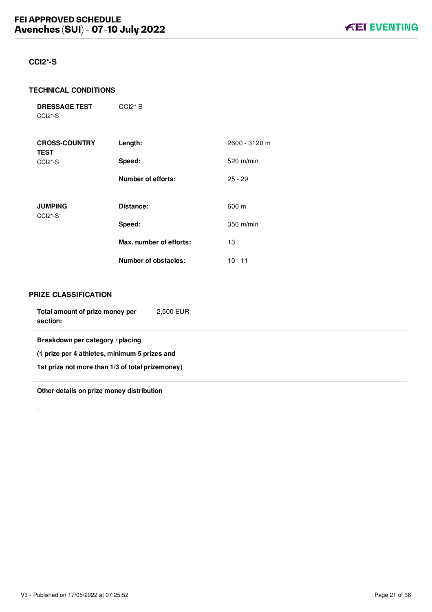### <span id="page-21-0"></span>**CCI2\*-S**

#### **TECHNICAL CONDITIONS**

**DRESSAGE TEST** CCI2\*-S

| <b>CROSS-COUNTRY</b><br><b>TEST</b> | Length:                     | 2600 - 3120 m |
|-------------------------------------|-----------------------------|---------------|
| $CCI2*-S$                           | Speed:                      | 520 m/min     |
|                                     | <b>Number of efforts:</b>   | $25 - 29$     |
| <b>JUMPING</b>                      | Distance:                   | 600 m         |
| CCI <sub>2</sub> <sup>*</sup> -S    | Speed:                      | $350$ m/min   |
|                                     | Max. number of efforts:     | 13            |
|                                     | <b>Number of obstacles:</b> | $10 - 11$     |

CCI2\* B

#### **PRIZE CLASSIFICATION**

-

| Total amount of prize money per<br>section:      | 2.500 EUR |  |  |
|--------------------------------------------------|-----------|--|--|
| Breakdown per category / placing                 |           |  |  |
| (1 prize per 4 athletes, minimum 5 prizes and    |           |  |  |
| 1st prize not more than 1/3 of total prizemoney) |           |  |  |
|                                                  |           |  |  |

**Other details on prize money distribution**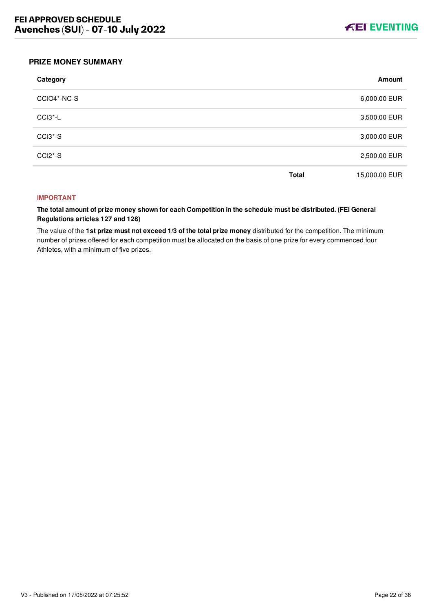

#### <span id="page-22-0"></span>**PRIZE MONEY SUMMARY**

| Category    |              | Amount        |
|-------------|--------------|---------------|
| CCIO4*-NC-S |              | 6,000.00 EUR  |
| $CCI3 - L$  |              | 3,500.00 EUR  |
| CCI3*-S     |              | 3,000.00 EUR  |
| $CCI2*-S$   |              | 2,500.00 EUR  |
|             | <b>Total</b> | 15,000.00 EUR |

#### **IMPORTANT**

**The total amount of prize money shown for each Competition in the schedule must be distributed. (FEI General Regulations articles 127 and 128)**

The value of the **1st prize must not exceed 1/3 of the total prize money** distributed for the competition. The minimum number of prizes offered for each competition must be allocated on the basis of one prize for every commenced four Athletes, with a minimum of five prizes.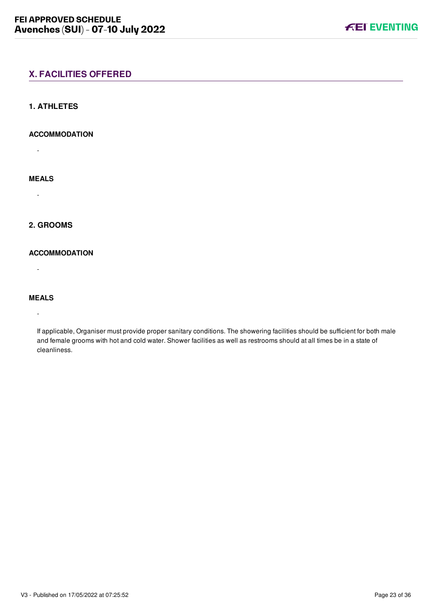# <span id="page-23-0"></span>**X. FACILITIES OFFERED**

#### <span id="page-23-1"></span>**1. ATHLETES**

#### **ACCOMMODATION**

-

## **MEALS**

-

## <span id="page-23-2"></span>**2. GROOMS**

### **ACCOMMODATION**

-

## **MEALS**

-

If applicable, Organiser must provide proper sanitary conditions. The showering facilities should be sufficient for both male and female grooms with hot and cold water. Shower facilities as well as restrooms should at all times be in a state of cleanliness.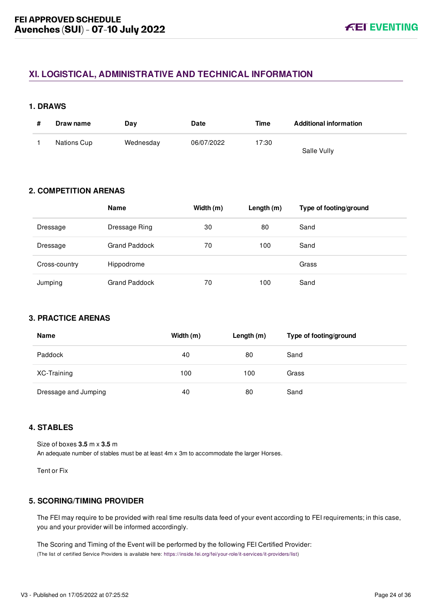# <span id="page-24-0"></span>**XI. LOGISTICAL, ADMINISTRATIVE AND TECHNICAL INFORMATION**

#### <span id="page-24-1"></span>**1. DRAWS**

| Draw name   | Dav       | <b>Date</b> | Time  | <b>Additional information</b> |
|-------------|-----------|-------------|-------|-------------------------------|
| Nations Cup | Wednesday | 06/07/2022  | 17:30 | Salle Vully                   |

# <span id="page-24-2"></span>**2. COMPETITION ARENAS**

|               | <b>Name</b>          | Width (m) | Length $(m)$ | Type of footing/ground |
|---------------|----------------------|-----------|--------------|------------------------|
| Dressage      | Dressage Ring        | 30        | 80           | Sand                   |
| Dressage      | <b>Grand Paddock</b> | 70        | 100          | Sand                   |
| Cross-country | Hippodrome           |           |              | Grass                  |
| Jumping       | <b>Grand Paddock</b> | 70        | 100          | Sand                   |

## <span id="page-24-3"></span>**3. PRACTICE ARENAS**

| Name                 | Width (m) | Length $(m)$ | Type of footing/ground |
|----------------------|-----------|--------------|------------------------|
| Paddock              | 40        | 80           | Sand                   |
| XC-Training          | 100       | 100          | Grass                  |
| Dressage and Jumping | 40        | 80           | Sand                   |

## <span id="page-24-4"></span>**4. STABLES**

Size of boxes **3.5** m x **3.5** m An adequate number of stables must be at least 4m x 3m to accommodate the larger Horses.

Tent or Fix

## <span id="page-24-5"></span>**5. SCORING/TIMING PROVIDER**

The FEI may require to be provided with real time results data feed of your event according to FEI requirements; in this case, you and your provider will be informed accordingly.

The Scoring and Timing of the Event will be performed by the following FEI Certified Provider: (The list of certified Service Providers is available here: [https://inside.fei.org/fei/your-role/it-services/it-providers/list\)](https://inside.fei.org/fei/your-role/it-services/it-providers/list)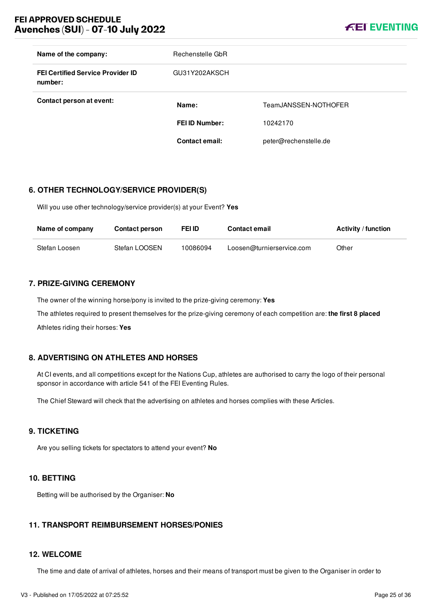

| Name of the company:                                | Rechenstelle GbR      |                       |
|-----------------------------------------------------|-----------------------|-----------------------|
| <b>FEI Certified Service Provider ID</b><br>number: | GU31Y202AKSCH         |                       |
| Contact person at event:                            | Name:                 | TeamJANSSEN-NOTHOFER  |
|                                                     | <b>FEI ID Number:</b> | 10242170              |
|                                                     | <b>Contact email:</b> | peter@rechenstelle.de |

## <span id="page-25-0"></span>**6. OTHER TECHNOLOGY/SERVICE PROVIDER(S)**

Will you use other technology/service provider(s) at your Event? **Yes**

| Name of company | <b>Contact person</b> | FEI ID   | <b>Contact email</b>      | <b>Activity / function</b> |
|-----------------|-----------------------|----------|---------------------------|----------------------------|
| Stefan Loosen   | Stefan LOOSEN         | 10086094 | Loosen@turnierservice.com | Other                      |

## <span id="page-25-1"></span>**7. PRIZE-GIVING CEREMONY**

The owner of the winning horse/pony is invited to the prize-giving ceremony: **Yes** The athletes required to present themselves for the prize-giving ceremony of each competition are: **the first 8 placed** Athletes riding their horses: **Yes**

## <span id="page-25-2"></span>**8. ADVERTISING ON ATHLETES AND HORSES**

At CI events, and all competitions except for the Nations Cup, athletes are authorised to carry the logo of their personal sponsor in accordance with article 541 of the FEI Eventing Rules.

The Chief Steward will check that the advertising on athletes and horses complies with these Articles.

#### <span id="page-25-3"></span>**9. TICKETING**

Are you selling tickets for spectators to attend your event? **No**

#### <span id="page-25-4"></span>**10. BETTING**

Betting will be authorised by the Organiser: **No**

## <span id="page-25-5"></span>**11. TRANSPORT REIMBURSEMENT HORSES/PONIES**

#### <span id="page-25-6"></span>**12. WELCOME**

The time and date of arrival of athletes, horses and their means of transport must be given to the Organiser in order to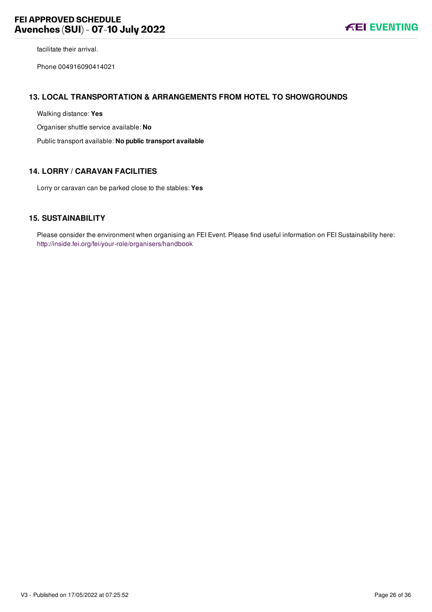facilitate their arrival.

Phone 004916090414021

#### <span id="page-26-0"></span>**13. LOCAL TRANSPORTATION & ARRANGEMENTS FROM HOTEL TO SHOWGROUNDS**

Walking distance: **Yes**

Organiser shuttle service available: **No**

Public transport available: **No public transport available**

## <span id="page-26-1"></span>**14. LORRY / CARAVAN FACILITIES**

Lorry or caravan can be parked close to the stables: **Yes**

#### <span id="page-26-2"></span>**15. SUSTAINABILITY**

Please consider the environment when organising an FEI Event. Please find useful information on FEI Sustainability here: <http://inside.fei.org/fei/your-role/organisers/handbook>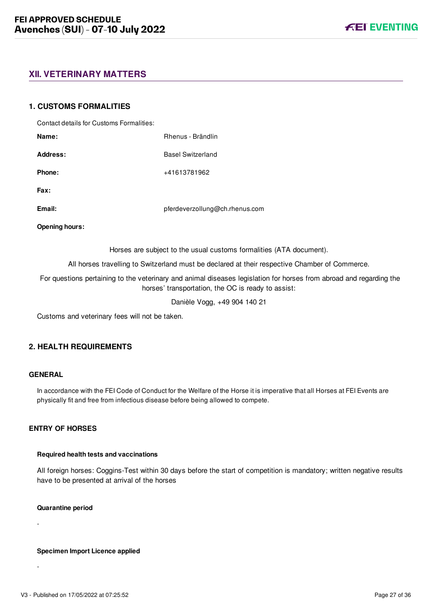# <span id="page-27-0"></span>**XII. VETERINARY MATTERS**

#### <span id="page-27-1"></span>**1. CUSTOMS FORMALITIES**

| Contact details for Customs Formalities: |                                                                                                                                                                           |
|------------------------------------------|---------------------------------------------------------------------------------------------------------------------------------------------------------------------------|
| Name:                                    | Rhenus - Brändlin                                                                                                                                                         |
| Address:                                 | <b>Basel Switzerland</b>                                                                                                                                                  |
| Phone:                                   | +41613781962                                                                                                                                                              |
| Fax:                                     |                                                                                                                                                                           |
| Email:                                   | pferdeverzollung@ch.rhenus.com                                                                                                                                            |
| <b>Opening hours:</b>                    |                                                                                                                                                                           |
|                                          | Horses are subject to the usual customs formalities (ATA document).                                                                                                       |
|                                          | All horses travelling to Switzerland must be declared at their respective Chamber of Commerce.                                                                            |
|                                          | For questions pertaining to the veterinary and animal diseases legislation for horses from abroad and regarding the<br>horses' transportation, the OC is ready to assist: |

Danièle Vogg, +49 904 140 21

Customs and veterinary fees will not be taken.

## <span id="page-27-2"></span>**2. HEALTH REQUIREMENTS**

#### **GENERAL**

In accordance with the FEI Code of Conduct for the Welfare of the Horse it is imperative that all Horses at FEI Events are physically fit and free from infectious disease before being allowed to compete.

#### **ENTRY OF HORSES**

#### **Required health tests and vaccinations**

All foreign horses: Coggins-Test within 30 days before the start of competition is mandatory; written negative results have to be presented at arrival of the horses

#### **Quarantine period**

-

-

**Specimen Import Licence applied**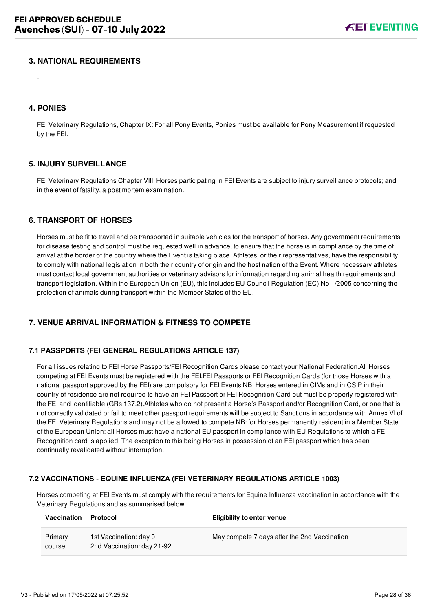### <span id="page-28-0"></span>**3. NATIONAL REQUIREMENTS**

#### <span id="page-28-1"></span>**4. PONIES**

-

FEI Veterinary Regulations, Chapter IX: For all Pony Events, Ponies must be available for Pony Measurement if requested by the FEI.

#### <span id="page-28-2"></span>**5. INJURY SURVEILLANCE**

FEI Veterinary Regulations Chapter VIII: Horses participating in FEI Events are subject to injury surveillance protocols; and in the event of fatality, a post mortem examination.

#### <span id="page-28-3"></span>**6. TRANSPORT OF HORSES**

Horses must be fit to travel and be transported in suitable vehicles for the transport of horses. Any government requirements for disease testing and control must be requested well in advance, to ensure that the horse is in compliance by the time of arrival at the border of the country where the Event is taking place. Athletes, or their representatives, have the responsibility to comply with national legislation in both their country of origin and the host nation of the Event. Where necessary athletes must contact local government authorities or veterinary advisors for information regarding animal health requirements and transport legislation. Within the European Union (EU), this includes EU Council Regulation (EC) No 1/2005 concerning the protection of animals during transport within the Member States of the EU.

## <span id="page-28-4"></span>**7. VENUE ARRIVAL INFORMATION & FITNESS TO COMPETE**

#### <span id="page-28-5"></span>**7.1 PASSPORTS (FEI GENERAL REGULATIONS ARTICLE 137)**

For all issues relating to FEI Horse Passports/FEI Recognition Cards please contact your National Federation.All Horses competing at FEI Events must be registered with the FEI.FEI Passports or FEI Recognition Cards (for those Horses with a national passport approved by the FEI) are compulsory for FEI Events.NB: Horses entered in CIMs and in CSIP in their country of residence are not required to have an FEI Passport or FEI Recognition Card but must be properly registered with the FEI and identifiable (GRs 137.2).Athletes who do not present a Horse's Passport and/or Recognition Card, or one that is not correctly validated or fail to meet other passport requirements will be subject to Sanctions in accordance with Annex VI of the FEI Veterinary Regulations and may not be allowed to compete.NB: for Horses permanently resident in a Member State of the European Union: all Horses must have a national EU passport in compliance with EU Regulations to which a FEI Recognition card is applied. The exception to this being Horses in possession of an FEI passport which has been continually revalidated without interruption.

#### <span id="page-28-6"></span>**7.2 VACCINATIONS - EQUINE INFLUENZA (FEI VETERINARY REGULATIONS ARTICLE 1003)**

Horses competing at FEI Events must comply with the requirements for Equine Influenza vaccination in accordance with the Veterinary Regulations and as summarised below.

| Vaccination       | Protocol                                             | <b>Eligibility to enter venue</b>            |
|-------------------|------------------------------------------------------|----------------------------------------------|
| Primary<br>course | 1st Vaccination: day 0<br>2nd Vaccination: day 21-92 | May compete 7 days after the 2nd Vaccination |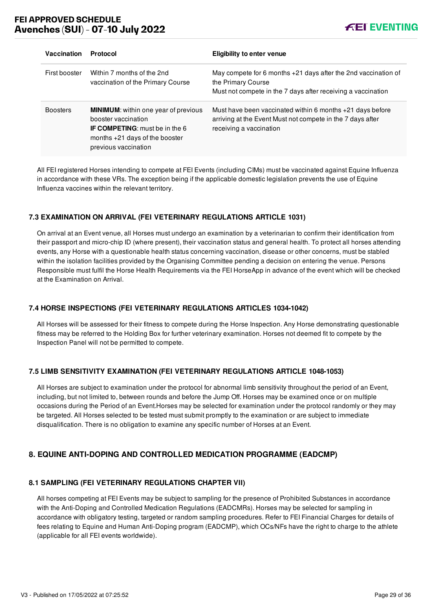

| Vaccination     | Protocol                                                                                                                                                                | <b>Eligibility to enter venue</b>                                                                                                                      |
|-----------------|-------------------------------------------------------------------------------------------------------------------------------------------------------------------------|--------------------------------------------------------------------------------------------------------------------------------------------------------|
| First booster   | Within 7 months of the 2nd<br>vaccination of the Primary Course                                                                                                         | May compete for 6 months $+21$ days after the 2nd vaccination of<br>the Primary Course<br>Must not compete in the 7 days after receiving a vaccination |
| <b>Boosters</b> | <b>MINIMUM:</b> within one year of previous<br>booster vaccination<br><b>IF COMPETING:</b> must be in the 6<br>months $+21$ days of the booster<br>previous vaccination | Must have been vaccinated within 6 months $+21$ days before<br>arriving at the Event Must not compete in the 7 days after<br>receiving a vaccination   |

All FEI registered Horses intending to compete at FEI Events (including CIMs) must be vaccinated against Equine Influenza in accordance with these VRs. The exception being if the applicable domestic legislation prevents the use of Equine Influenza vaccines within the relevant territory.

## <span id="page-29-0"></span>**7.3 EXAMINATION ON ARRIVAL (FEI VETERINARY REGULATIONS ARTICLE 1031)**

On arrival at an Event venue, all Horses must undergo an examination by a veterinarian to confirm their identification from their passport and micro-chip ID (where present), their vaccination status and general health. To protect all horses attending events, any Horse with a questionable health status concerning vaccination, disease or other concerns, must be stabled within the isolation facilities provided by the Organising Committee pending a decision on entering the venue. Persons Responsible must fulfil the Horse Health Requirements via the FEI HorseApp in advance of the event which will be checked at the Examination on Arrival.

### <span id="page-29-1"></span>**7.4 HORSE INSPECTIONS (FEI VETERINARY REGULATIONS ARTICLES 1034-1042)**

All Horses will be assessed for their fitness to compete during the Horse Inspection. Any Horse demonstrating questionable fitness may be referred to the Holding Box for further veterinary examination. Horses not deemed fit to compete by the Inspection Panel will not be permitted to compete.

#### <span id="page-29-2"></span>**7.5 LIMB SENSITIVITY EXAMINATION (FEI VETERINARY REGULATIONS ARTICLE 1048-1053)**

All Horses are subject to examination under the protocol for abnormal limb sensitivity throughout the period of an Event, including, but not limited to, between rounds and before the Jump Off. Horses may be examined once or on multiple occasions during the Period of an Event.Horses may be selected for examination under the protocol randomly or they may be targeted. All Horses selected to be tested must submit promptly to the examination or are subject to immediate disqualification. There is no obligation to examine any specific number of Horses at an Event.

# <span id="page-29-3"></span>**8. EQUINE ANTI-DOPING AND CONTROLLED MEDICATION PROGRAMME (EADCMP)**

#### <span id="page-29-4"></span>**8.1 SAMPLING (FEI VETERINARY REGULATIONS CHAPTER VII)**

All horses competing at FEI Events may be subject to sampling for the presence of Prohibited Substances in accordance with the Anti-Doping and Controlled Medication Regulations (EADCMRs). Horses may be selected for sampling in accordance with obligatory testing, targeted or random sampling procedures. Refer to FEI Financial Charges for details of fees relating to Equine and Human Anti-Doping program (EADCMP), which OCs/NFs have the right to charge to the athlete (applicable for all FEI events worldwide).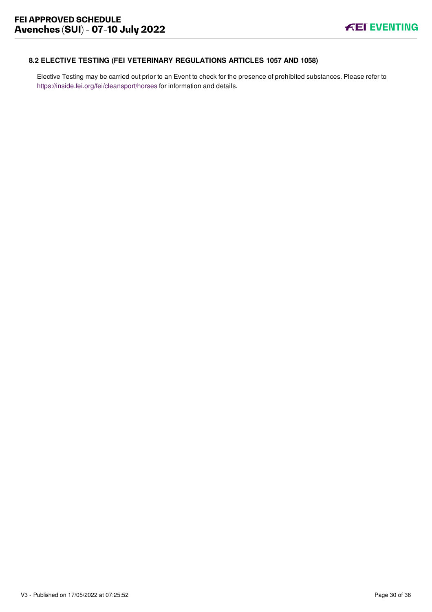# <span id="page-30-0"></span>**8.2 ELECTIVE TESTING (FEI VETERINARY REGULATIONS ARTICLES 1057 AND 1058)**

Elective Testing may be carried out prior to an Event to check for the presence of prohibited substances. Please refer to <https://inside.fei.org/fei/cleansport/horses>for information and details.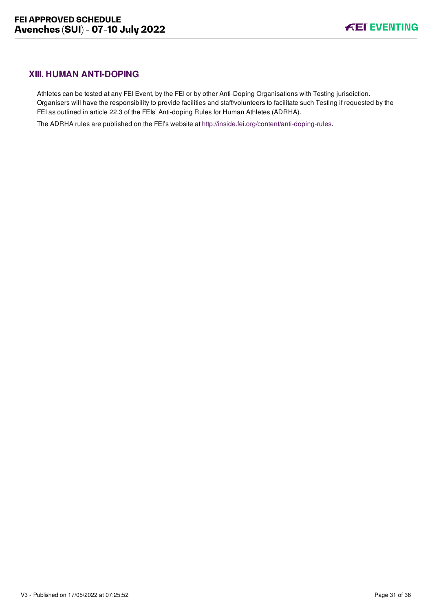# <span id="page-31-0"></span>**XIII. HUMAN ANTI-DOPING**

Athletes can be tested at any FEI Event, by the FEI or by other Anti-Doping Organisations with Testing jurisdiction. Organisers will have the responsibility to provide facilities and staff/volunteers to facilitate such Testing if requested by the FEI as outlined in article 22.3 of the FEIs' Anti-doping Rules for Human Athletes (ADRHA).

The ADRHA rules are published on the FEI's website at [http://inside.fei.org/content/anti-doping-rules.](http://inside.fei.org/content/anti-doping-rules)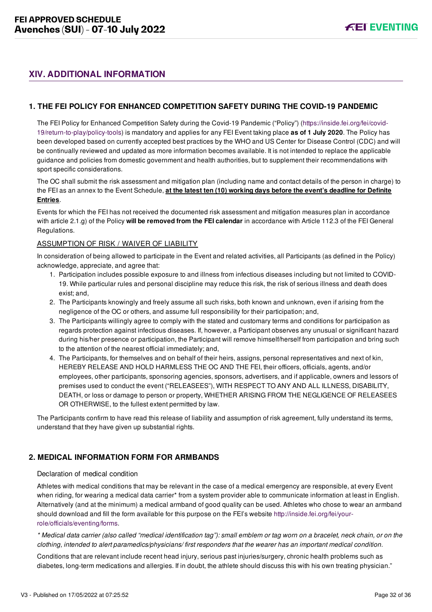# <span id="page-32-0"></span>**XIV. ADDITIONAL INFORMATION**

## <span id="page-32-1"></span>**1. THE FEI POLICY FOR ENHANCED COMPETITION SAFETY DURING THE COVID-19 PANDEMIC**

[The FEI Policy for Enhanced Competition Safety during the Covid-19 Pandemic \("Policy"\) \(https://inside.fei.org/fei/covid-](https://inside.fei.org/fei/covid-19/return-to-play/policy-tools)19/return-to-play/policy-tools) is mandatory and applies for any FEI Event taking place **as of 1 July 2020**. The Policy has been developed based on currently accepted best practices by the WHO and US Center for Disease Control (CDC) and will be continually reviewed and updated as more information becomes available. It is not intended to replace the applicable guidance and policies from domestic government and health authorities, but to supplement their recommendations with sport specific considerations.

The OC shall submit the risk assessment and mitigation plan (including name and contact details of the person in charge) to the FEI as an annex to the Event Schedule, **at the latest ten (10) working days before the event's deadline for Definite Entries**.

Events for which the FEI has not received the documented risk assessment and mitigation measures plan in accordance with article 2.1.g) of the Policy **will be removed from the FEI calendar** in accordance with Article 112.3 of the FEI General Regulations.

#### ASSUMPTION OF RISK / WAIVER OF LIABILITY

In consideration of being allowed to participate in the Event and related activities, all Participants (as defined in the Policy) acknowledge, appreciate, and agree that:

- 1. Participation includes possible exposure to and illness from infectious diseases including but not limited to COVID-19. While particular rules and personal discipline may reduce this risk, the risk of serious illness and death does exist; and,
- 2. The Participants knowingly and freely assume all such risks, both known and unknown, even if arising from the negligence of the OC or others, and assume full responsibility for their participation; and,
- 3. The Participants willingly agree to comply with the stated and customary terms and conditions for participation as regards protection against infectious diseases. If, however, a Participant observes any unusual or significant hazard during his/her presence or participation, the Participant will remove himself/herself from participation and bring such to the attention of the nearest official immediately; and,
- 4. The Participants, for themselves and on behalf of their heirs, assigns, personal representatives and next of kin, HEREBY RELEASE AND HOLD HARMLESS THE OC AND THE FEI, their officers, officials, agents, and/or employees, other participants, sponsoring agencies, sponsors, advertisers, and if applicable, owners and lessors of premises used to conduct the event ("RELEASEES"), WITH RESPECT TO ANY AND ALL ILLNESS, DISABILITY, DEATH, or loss or damage to person or property, WHETHER ARISING FROM THE NEGLIGENCE OF RELEASEES OR OTHERWISE, to the fullest extent permitted by law.

The Participants confirm to have read this release of liability and assumption of risk agreement, fully understand its terms, understand that they have given up substantial rights.

## <span id="page-32-2"></span>**2. MEDICAL INFORMATION FORM FOR ARMBANDS**

#### Declaration of medical condition

Athletes with medical conditions that may be relevant in the case of a medical emergency are responsible, at every Event when riding, for wearing a medical data carrier\* from a system provider able to communicate information at least in English. Alternatively (and at the minimum) a medical armband of good quality can be used. Athletes who chose to wear an armband [should download and fill the form available for this purpose on the FEI's website http://inside.fei.org/fei/your](http://inside.fei.org/fei/your-role/officials/eventing/forms)role/officials/eventing/forms.

*\* Medical data carrier (also called "medical identification tag"): small emblem or tag worn on a bracelet, neck chain, or on the clothing, intended to alert paramedics/physicians/ first responders that the wearer has an important medical condition.*

Conditions that are relevant include recent head injury, serious past injuries/surgery, chronic health problems such as diabetes, long-term medications and allergies. If in doubt, the athlete should discuss this with his own treating physician."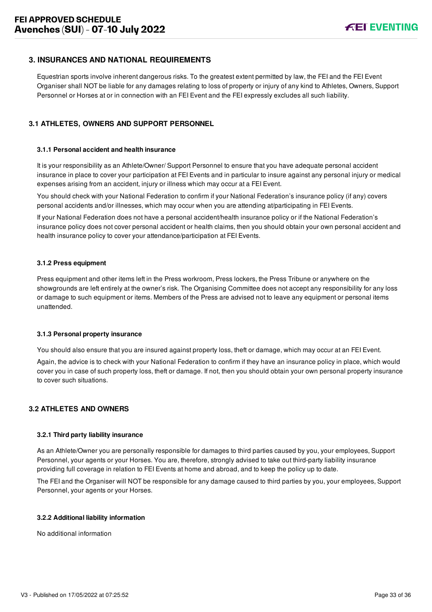## <span id="page-33-0"></span>**3. INSURANCES AND NATIONAL REQUIREMENTS**

Equestrian sports involve inherent dangerous risks. To the greatest extent permitted by law, the FEI and the FEI Event Organiser shall NOT be liable for any damages relating to loss of property or injury of any kind to Athletes, Owners, Support Personnel or Horses at or in connection with an FEI Event and the FEI expressly excludes all such liability.

### <span id="page-33-1"></span>**3.1 ATHLETES, OWNERS AND SUPPORT PERSONNEL**

#### **3.1.1 Personal accident and health insurance**

It is your responsibility as an Athlete/Owner/ Support Personnel to ensure that you have adequate personal accident insurance in place to cover your participation at FEI Events and in particular to insure against any personal injury or medical expenses arising from an accident, injury or illness which may occur at a FEI Event.

You should check with your National Federation to confirm if your National Federation's insurance policy (if any) covers personal accidents and/or illnesses, which may occur when you are attending at/participating in FEI Events.

If your National Federation does not have a personal accident/health insurance policy or if the National Federation's insurance policy does not cover personal accident or health claims, then you should obtain your own personal accident and health insurance policy to cover your attendance/participation at FEI Events.

#### **3.1.2 Press equipment**

Press equipment and other items left in the Press workroom, Press lockers, the Press Tribune or anywhere on the showgrounds are left entirely at the owner's risk. The Organising Committee does not accept any responsibility for any loss or damage to such equipment or items. Members of the Press are advised not to leave any equipment or personal items unattended.

#### **3.1.3 Personal property insurance**

You should also ensure that you are insured against property loss, theft or damage, which may occur at an FEI Event.

Again, the advice is to check with your National Federation to confirm if they have an insurance policy in place, which would cover you in case of such property loss, theft or damage. If not, then you should obtain your own personal property insurance to cover such situations.

#### <span id="page-33-2"></span>**3.2 ATHLETES AND OWNERS**

#### **3.2.1 Third party liability insurance**

As an Athlete/Owner you are personally responsible for damages to third parties caused by you, your employees, Support Personnel, your agents or your Horses. You are, therefore, strongly advised to take out third-party liability insurance providing full coverage in relation to FEI Events at home and abroad, and to keep the policy up to date.

The FEI and the Organiser will NOT be responsible for any damage caused to third parties by you, your employees, Support Personnel, your agents or your Horses.

#### **3.2.2 Additional liability information**

No additional information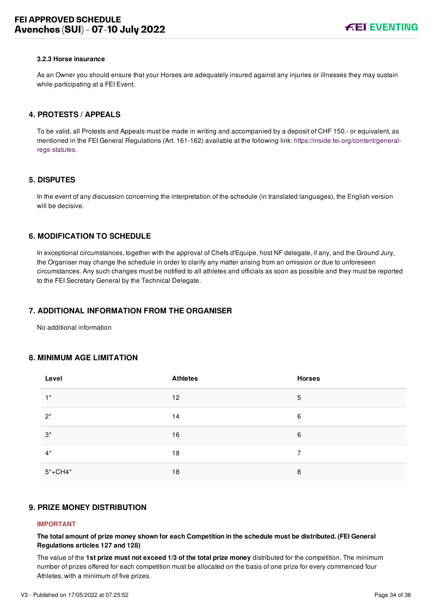#### **3.2.3 Horse insurance**

As an Owner you should ensure that your Horses are adequately insured against any injuries or illnesses they may sustain while participating at a FEI Event.

#### <span id="page-34-0"></span>**4. PROTESTS / APPEALS**

To be valid, all Protests and Appeals must be made in writing and accompanied by a deposit of CHF 150.- or equivalent, as [mentioned in the FEI General Regulations \(Art. 161-162\) available at the following link: https://inside.fei.org/content/general](https://inside.fei.org/content/general-regs-statutes)regs-statutes.

#### <span id="page-34-1"></span>**5. DISPUTES**

In the event of any discussion concerning the interpretation of the schedule (in translated languages), the English version will be decisive.

## <span id="page-34-2"></span>**6. MODIFICATION TO SCHEDULE**

In exceptional circumstances, together with the approval of Chefs d'Equipe, host NF delegate, if any, and the Ground Jury, the Organiser may change the schedule in order to clarify any matter arising from an omission or due to unforeseen circumstances. Any such changes must be notified to all athletes and officials as soon as possible and they must be reported to the FEI Secretary General by the Technical Delegate.

#### <span id="page-34-3"></span>**7. ADDITIONAL INFORMATION FROM THE ORGANISER**

No additional information

#### <span id="page-34-4"></span>**8. MINIMUM AGE LIMITATION**

| Level       | <b>Athletes</b> | <b>Horses</b> |
|-------------|-----------------|---------------|
| $1^*$       | 12              | 5             |
| $2^*$       | 14              | 6             |
| $3^*$       | 16              | 6             |
| $4^*$       | 18              | 7             |
| $5* + CH4*$ | 18              | 8             |

### <span id="page-34-5"></span>**9. PRIZE MONEY DISTRIBUTION**

#### **IMPORTANT**

**The total amount of prize money shown for each Competition in the schedule must be distributed. (FEI General Regulations articles 127 and 128)**

The value of the **1st prize must not exceed 1/3 of the total prize money** distributed for the competition. The minimum number of prizes offered for each competition must be allocated on the basis of one prize for every commenced four Athletes, with a minimum of five prizes.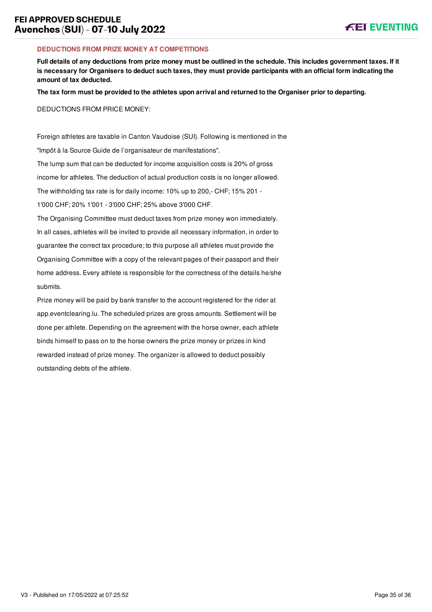#### **DEDUCTIONS FROM PRIZE MONEY AT COMPETITIONS**

**Full details of any deductions from prize money must be outlined in the schedule. This includes government taxes. If it is necessary for Organisers to deduct such taxes, they must provide participants with an official form indicating the amount of tax deducted.**

**The tax form must be provided to the athletes upon arrival and returned to the Organiser prior to departing.**

DEDUCTIONS FROM PRICE MONEY:

Foreign athletes are taxable in Canton Vaudoise (SUI). Following is mentioned in the "Impôt à la Source Guide de l'organisateur de manifestations". The lump sum that can be deducted for income acquisition costs is 20% of gross income for athletes. The deduction of actual production costs is no longer allowed. The withholding tax rate is for daily income: 10% up to 200,- CHF; 15% 201 - 1'000 CHF; 20% 1'001 - 3'000 CHF; 25% above 3'000 CHF.

The Organising Committee must deduct taxes from prize money won immediately. In all cases, athletes will be invited to provide all necessary information, in order to guarantee the correct tax procedure; to this purpose all athletes must provide the Organising Committee with a copy of the relevant pages of their passport and their home address. Every athlete is responsible for the correctness of the details he/she submits.

Prize money will be paid by bank transfer to the account registered for the rider at app.eventclearing.lu. The scheduled prizes are gross amounts. Settlement will be done per athlete. Depending on the agreement with the horse owner, each athlete binds himself to pass on to the horse owners the prize money or prizes in kind rewarded instead of prize money. The organizer is allowed to deduct possibly outstanding debts of the athlete.